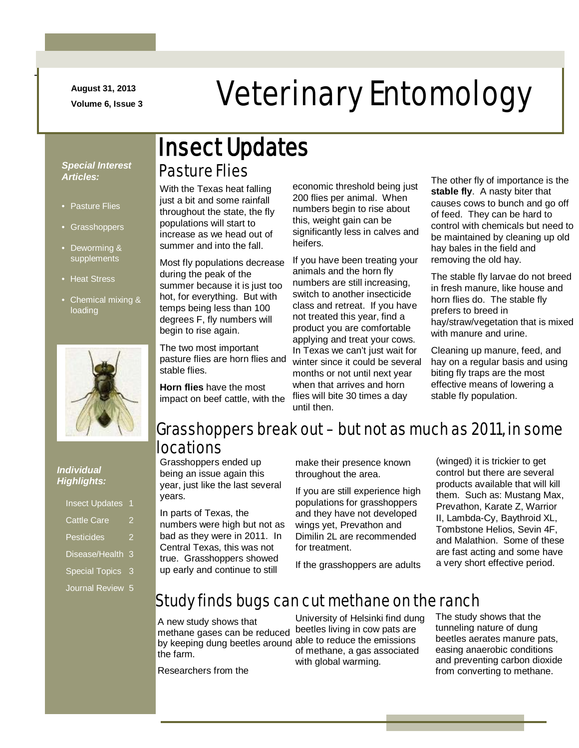**August 31, 2013**

-

# August 31, 2013<br>Veterinary Entomology

#### *Special Interest Articles:*

- Pasture Flies
- Grasshoppers
- Deworming & supplements
- Heat Stress
- Chemical mixing & loading



#### *Individual Highlights:*

| <b>Insect Updates</b> |   |
|-----------------------|---|
| <b>Cattle Care</b>    | 2 |
| Pesticides            | 2 |
| Disease/Health        | З |
| <b>Special Topics</b> | 3 |
| Journal Review        | 5 |
|                       |   |

# Pasture Flies Insect Updates

With the Texas heat falling just a bit and some rainfall throughout the state, the fly populations will start to increase as we head out of summer and into the fall.

Most fly populations decrease during the peak of the summer because it is just too hot, for everything. But with temps being less than 100 degrees F, fly numbers will begin to rise again.

The two most important pasture flies are horn flies and stable flies.

**Horn flies** have the most impact on beef cattle, with the economic threshold being just 200 flies per animal. When numbers begin to rise about this, weight gain can be significantly less in calves and heifers.

If you have been treating your animals and the horn fly numbers are still increasing, switch to another insecticide class and retreat. If you have not treated this year, find a product you are comfortable applying and treat your cows. In Texas we can't just wait for winter since it could be several months or not until next year when that arrives and horn flies will bite 30 times a day until then.

The other fly of importance is the **stable fly**. A nasty biter that causes cows to bunch and go off of feed. They can be hard to control with chemicals but need to be maintained by cleaning up old hay bales in the field and removing the old hay.

The stable fly larvae do not breed in fresh manure, like house and horn flies do. The stable fly prefers to breed in hay/straw/vegetation that is mixed with manure and urine.

Cleaning up manure, feed, and hay on a regular basis and using biting fly traps are the most effective means of lowering a stable fly population.

#### Grasshoppers break out – but not as much as 2011, in some locations

Grasshoppers ended up being an issue again this year, just like the last several years.

In parts of Texas, the numbers were high but not as bad as they were in 2011. In Central Texas, this was not true. Grasshoppers showed up early and continue to still

make their presence known throughout the area.

If you are still experience high populations for grasshoppers and they have not developed wings yet, Prevathon and Dimilin 2L are recommended for treatment.

If the grasshoppers are adults

(winged) it is trickier to get control but there are several products available that will kill them. Such as: Mustang Max, Prevathon, Karate Z, Warrior II, Lambda-Cy, Baythroid XL, Tombstone Helios, Sevin 4F, and Malathion. Some of these are fast acting and some have a very short effective period.

### Study finds bugs can cut methane on the ranch

A new study shows that methane gases can be reduced by keeping dung beetles around able to reduce the emissions the farm.

University of Helsinki find dung beetles living in cow pats are of methane, a gas associated with global warming.

The study shows that the tunneling nature of dung beetles aerates manure pats, easing anaerobic conditions and preventing carbon dioxide from converting to methane.

Researchers from the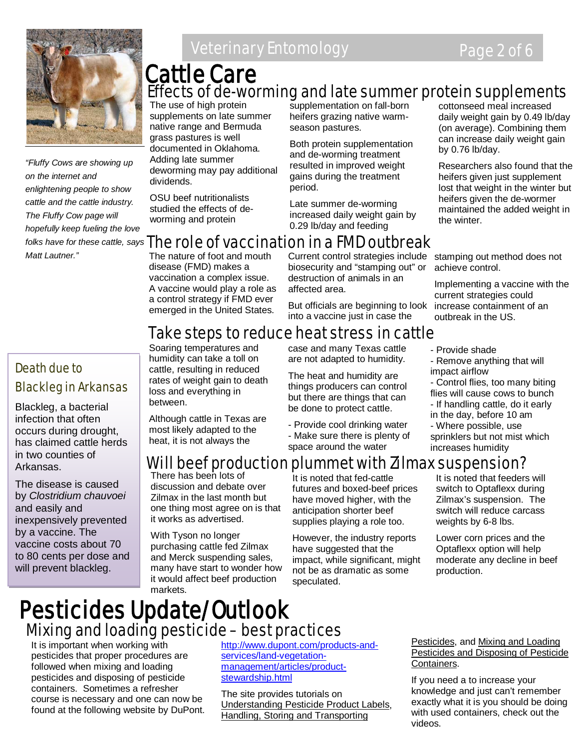

*"Fluffy Cows are showing up on the internet and enlightening people to show cattle and the cattle industry. The Fluffy Cow page will hopefully keep fueling the love Matt Lautner."*

#### Death due to Blackleg in Arkansas

Blackleg, a bacterial infection that often occurs during drought, has claimed cattle herds in two counties of Arkansas.

The disease is caused by *Clostridium chauvoei* and easily and inexpensively prevented by a vaccine. The vaccine costs about 70 to 80 cents per dose and will prevent blackleg.

# **Veterinary Entomology Page 2 of 6**

# Effects of de-worming and late summer protein supplements Cattle Care

The use of high protein supplements on late summer native range and Bermuda grass pastures is well documented in Oklahoma. Adding late summer deworming may pay additional dividends.

OSU beef nutritionalists studied the effects of deworming and protein

supplementation on fall-born heifers grazing native warmseason pastures.

Both protein supplementation and de-worming treatment resulted in improved weight gains during the treatment period.

Late summer de-worming increased daily weight gain by 0.29 lb/day and feeding

# *folks have for these cattle, says*  The role of vaccination in a FMD outbreak

The nature of foot and mouth disease (FMD) makes a vaccination a complex issue. A vaccine would play a role as a control strategy if FMD ever emerged in the United States.

humidity can take a toll on cattle, resulting in reduced rates of weight gain to death loss and everything in

Although cattle in Texas are most likely adapted to the heat, it is not always the

between.

Current control strategies include stamping out method does not biosecurity and "stamping out" or destruction of animals in an affected area.

But officials are beginning to look into a vaccine just in case the

#### Take steps to reduce heat stress in cattle Soaring temperatures and

case and many Texas cattle are not adapted to humidity.

The heat and humidity are things producers can control but there are things that can be done to protect cattle.

- Provide cool drinking water - Make sure there is plenty of space around the water

cottonseed meal increased daily weight gain by 0.49 lb/day (on average). Combining them can increase daily weight gain by 0.76 lb/day.

Researchers also found that the heifers given just supplement lost that weight in the winter but heifers given the de-wormer maintained the added weight in the winter.

achieve control.

Implementing a vaccine with the current strategies could increase containment of an outbreak in the US.

- Provide shade
- Remove anything that will impact airflow
- Control flies, too many biting flies will cause cows to bunch - If handling cattle, do it early
- in the day, before 10 am
- Where possible, use
- sprinklers but not mist which increases humidity

# ll beef production plummet with Zilmax suspension?

There has been lots of discussion and debate over Zilmax in the last month but one thing most agree on is that it works as advertised.

With Tyson no longer purchasing cattle fed Zilmax and Merck suspending sales, many have start to wonder how it would affect beef production markets.

It is noted that fed-cattle futures and boxed-beef prices have moved higher, with the anticipation shorter beef supplies playing a role too.

However, the industry reports have suggested that the impact, while significant, might not be as dramatic as some speculated.

It is noted that feeders will switch to Optaflexx during Zilmax's suspension. The switch will reduce carcass weights by 6-8 lbs.

Lower corn prices and the Optaflexx option will help moderate any decline in beef production.

# Pesticides Update/Outlook Mixing and loading pesticide – best practices

It is important when working with pesticides that proper procedures are followed when mixing and loading pesticides and disposing of pesticide containers. Sometimes a refresher course is necessary and one can now be found at the following website by DuPont. [http://www.dupont.com/products-and](http://www.dupont.com/products-and-services/land-vegetation-management/articles/product-stewardship.html)[services/land-vegetation](http://www.dupont.com/products-and-services/land-vegetation-management/articles/product-stewardship.html)[management/articles/product](http://www.dupont.com/products-and-services/land-vegetation-management/articles/product-stewardship.html)[stewardship.html](http://www.dupont.com/products-and-services/land-vegetation-management/articles/product-stewardship.html)

The site provides tutorials on Understanding Pesticide Product Labels, Handling, Storing and Transporting

Pesticides, and Mixing and Loading Pesticides and Disposing of Pesticide Containers.

If you need a to increase your knowledge and just can't remember exactly what it is you should be doing with used containers, check out the videos.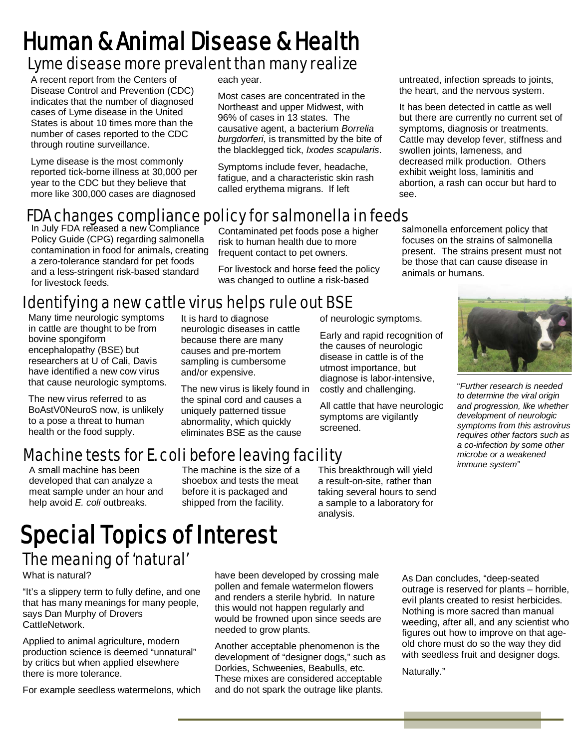# Lyme disease more prevalent than many realize Human & Animal Disease & Health

A recent report from the Centers of Disease Control and Prevention (CDC) indicates that the number of diagnosed cases of Lyme disease in the United States is about 10 times more than the number of cases reported to the CDC through routine surveillance.

Lyme disease is the most commonly reported tick-borne illness at 30,000 per year to the CDC but they believe that more like 300,000 cases are diagnosed

each year.

Most cases are concentrated in the Northeast and upper Midwest, with 96% of cases in 13 states. The causative agent, a bacterium *Borrelia burgdorferi*, is transmitted by the bite of the blacklegged tick, *Ixodes scapularis*.

Symptoms include fever, headache, fatigue, and a characteristic skin rash called erythema migrans. If left

untreated, infection spreads to joints, the heart, and the nervous system.

It has been detected in cattle as well but there are currently no current set of symptoms, diagnosis or treatments. Cattle may develop fever, stiffness and swollen joints, lameness, and decreased milk production. Others exhibit weight loss, laminitis and abortion, a rash can occur but hard to see.

# FDA changes compliance policy for salmonella in feeds

In July FDA released a new Compliance Policy Guide (CPG) regarding salmonella contamination in food for animals, creating a zero-tolerance standard for pet foods and a less-stringent risk-based standard for livestock feeds.

Contaminated pet foods pose a higher risk to human health due to more frequent contact to pet owners.

For livestock and horse feed the policy was changed to outline a risk-based

salmonella enforcement policy that focuses on the strains of salmonella present. The strains present must not be those that can cause disease in animals or humans.

# Identifying a new cattle virus helps rule out BSE

Many time neurologic symptoms in cattle are thought to be from bovine spongiform encephalopathy (BSE) but researchers at U of Cali, Davis have identified a new cow virus that cause neurologic symptoms.

The new virus referred to as BoAstV0NeuroS now, is unlikely to a pose a threat to human health or the food supply.

It is hard to diagnose neurologic diseases in cattle because there are many causes and pre-mortem sampling is cumbersome and/or expensive.

The new virus is likely found in the spinal cord and causes a uniquely patterned tissue abnormality, which quickly eliminates BSE as the cause

of neurologic symptoms.

Early and rapid recognition of the causes of neurologic disease in cattle is of the utmost importance, but diagnose is labor-intensive, costly and challenging.

All cattle that have neurologic symptoms are vigilantly screened.

"*Further research is needed to determine the viral origin and progression, like whether development of neurologic symptoms from this astrovirus requires other factors such as a co-infection by some other microbe or a weakened immune system"*

# Machine tests for E. coli before leaving facility

A small machine has been developed that can analyze a meat sample under an hour and help avoid *E. coli* outbreaks.

The machine is the size of a shoebox and tests the meat before it is packaged and shipped from the facility.

This breakthrough will yield a result-on-site, rather than taking several hours to send a sample to a laboratory for analysis.

# Special Topics of Interest The meaning of 'natural'

What is natural?

"It's a slippery term to fully define, and one that has many meanings for many people, says Dan Murphy of Drovers CattleNetwork.

Applied to animal agriculture, modern production science is deemed "unnatural" by critics but when applied elsewhere there is more tolerance.

For example seedless watermelons, which

have been developed by crossing male pollen and female watermelon flowers and renders a sterile hybrid. In nature this would not happen regularly and would be frowned upon since seeds are needed to grow plants.

Another acceptable phenomenon is the development of "designer dogs," such as Dorkies, Schweenies, Beabulls, etc. These mixes are considered acceptable and do not spark the outrage like plants.

As Dan concludes, "deep-seated outrage is reserved for plants – horrible, evil plants created to resist herbicides. Nothing is more sacred than manual weeding, after all, and any scientist who figures out how to improve on that ageold chore must do so the way they did with seedless fruit and designer dogs.

Naturally."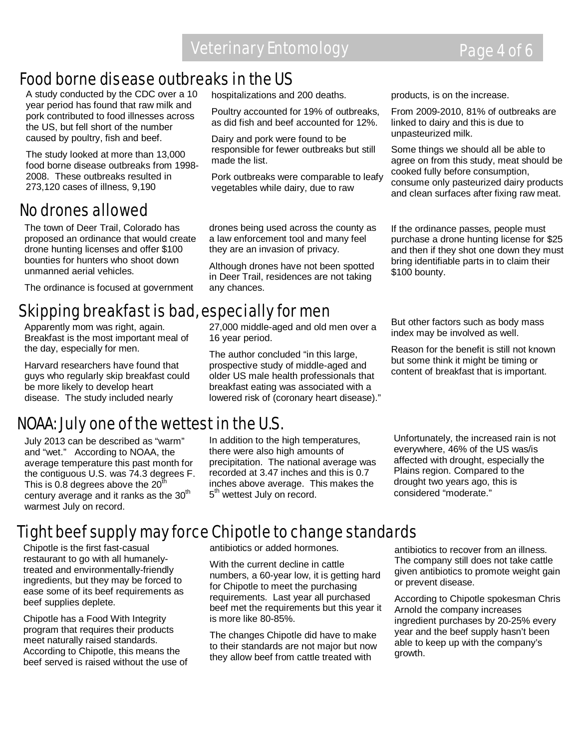hospitalizations and 200 deaths.

Dairy and pork were found to be responsible for fewer outbreaks but still

made the list.

16 year period.

Poultry accounted for 19% of outbreaks, as did fish and beef accounted for 12%.

Pork outbreaks were comparable to leafy vegetables while dairy, due to raw

### Food borne disease outbreaks in the US

A study conducted by the CDC over a 10 year period has found that raw milk and pork contributed to food illnesses across the US, but fell short of the number caused by poultry, fish and beef.

The study looked at more than 13,000 food borne disease outbreaks from 1998- 2008. These outbreaks resulted in 273,120 cases of illness, 9,190

#### No drones allowed

The town of Deer Trail, Colorado has proposed an ordinance that would create drone hunting licenses and offer \$100 bounties for hunters who shoot down unmanned aerial vehicles.

The ordinance is focused at government

#### 27,000 middle-aged and old men over a Skipping breakfast is bad, especially for men

Apparently mom was right, again. Breakfast is the most important meal of the day, especially for men.

Harvard researchers have found that guys who regularly skip breakfast could be more likely to develop heart disease. The study included nearly

### NOAA: July one of the wettest in the U.S.

July 2013 can be described as "warm" and "wet." According to NOAA, the average temperature this past month for the contiguous U.S. was 74.3 degrees F. This is 0.8 degrees above the  $20<sup>th</sup>$ century average and it ranks as the  $30<sup>th</sup>$ warmest July on record.

In addition to the high temperatures, there were also high amounts of precipitation. The national average was recorded at 3.47 inches and this is 0.7 inches above average. This makes the 5<sup>th</sup> wettest July on record.

products, is on the increase.

From 2009-2010, 81% of outbreaks are linked to dairy and this is due to unpasteurized milk.

Some things we should all be able to agree on from this study, meat should be cooked fully before consumption, consume only pasteurized dairy products and clean surfaces after fixing raw meat.

If the ordinance passes, people must purchase a drone hunting license for \$25 and then if they shot one down they must bring identifiable parts in to claim their \$100 bounty.

But other factors such as body mass index may be involved as well.

Reason for the benefit is still not known but some think it might be timing or content of breakfast that is important.

Unfortunately, the increased rain is not everywhere, 46% of the US was/is affected with drought, especially the Plains region. Compared to the drought two years ago, this is considered "moderate."

# Tight beef supply may force Chipotle to change standards

Chipotle is the first fast-casual restaurant to go with all humanelytreated and environmentally-friendly ingredients, but they may be forced to ease some of its beef requirements as beef supplies deplete.

Chipotle has a Food With Integrity program that requires their products meet naturally raised standards. According to Chipotle, this means the beef served is raised without the use of antibiotics or added hormones.

With the current decline in cattle numbers, a 60-year low, it is getting hard for Chipotle to meet the purchasing requirements. Last year all purchased beef met the requirements but this year it is more like 80-85%.

The changes Chipotle did have to make to their standards are not major but now they allow beef from cattle treated with

antibiotics to recover from an illness. The company still does not take cattle given antibiotics to promote weight gain or prevent disease.

According to Chipotle spokesman Chris Arnold the company increases ingredient purchases by 20-25% every year and the beef supply hasn't been able to keep up with the company's growth.

drones being used across the county as a law enforcement tool and many feel they are an invasion of privacy.

Although drones have not been spotted in Deer Trail, residences are not taking any chances.

The author concluded "in this large, prospective study of middle-aged and older US male health professionals that breakfast eating was associated with a lowered risk of (coronary heart disease)."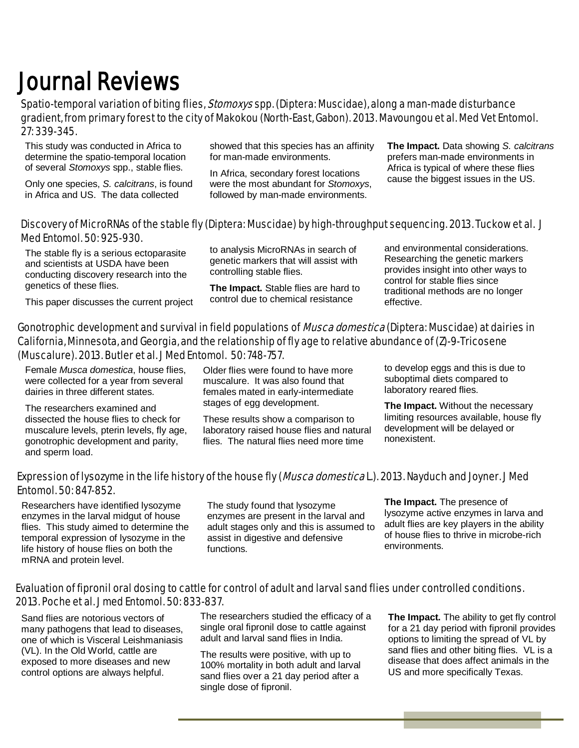# Journal Reviews<br>Spatio-temporal variation of biting flies, *Stomoxys* spp. (Diptera: Muscidae), along a man-made disturbance gradient, from primary forest to the city of Makokou (North-East, Gabon). 2013. Mavoungou et al. Med Vet Entomol. 27: 339-345.

This study was conducted in Africa to determine the spatio-temporal location of several *Stomoxys* spp., stable flies.

Only one species, *S. calcitrans*, is found in Africa and US. The data collected

showed that this species has an affinity for man-made environments.

In Africa, secondary forest locations were the most abundant for *Stomoxys*, followed by man-made environments.

**The Impact.** Data showing *S. calcitrans* prefers man-made environments in Africa is typical of where these flies cause the biggest issues in the US.

#### Discovery of MicroRNAs of the stable fly (Diptera: Muscidae) by high-throughput sequencing. 2013. Tuckow et al. J Med Entomol. 50: 925-930.

The stable fly is a serious ectoparasite and scientists at USDA have been conducting discovery research into the genetics of these flies.

This paper discusses the current project

to analysis MicroRNAs in search of genetic markers that will assist with controlling stable flies.

**The Impact.** Stable flies are hard to control due to chemical resistance

and environmental considerations. Researching the genetic markers provides insight into other ways to control for stable flies since traditional methods are no longer effective.

#### Gonotrophic development and survival in field populations of *Musca domestica* (Diptera: Muscidae) at dairies in California, Minnesota, and Georgia, and the relationship of fly age to relative abundance of (Z)-9-Tricosene (Muscalure). 2013. Butler et al. J Med Entomol. 50: 748-757.

Female *Musca domestica*, house flies, were collected for a year from several dairies in three different states.

The researchers examined and dissected the house flies to check for muscalure levels, pterin levels, fly age, gonotrophic development and parity, and sperm load.

Older flies were found to have more muscalure. It was also found that females mated in early-intermediate stages of egg development.

These results show a comparison to laboratory raised house flies and natural flies. The natural flies need more time

to develop eggs and this is due to suboptimal diets compared to laboratory reared flies.

**The Impact.** Without the necessary limiting resources available, house fly development will be delayed or nonexistent.

#### Expression of lysozyme in the life history of the house fly (*Musca domestica* L.). 2013. Nayduch and Joyner. J Med Entomol. 50: 847-852.

Researchers have identified lysozyme enzymes in the larval midgut of house flies. This study aimed to determine the temporal expression of lysozyme in the life history of house flies on both the mRNA and protein level.

The study found that lysozyme enzymes are present in the larval and adult stages only and this is assumed to assist in digestive and defensive functions.

**The Impact.** The presence of lysozyme active enzymes in larva and adult flies are key players in the ability of house flies to thrive in microbe-rich environments.

#### Evaluation of fipronil oral dosing to cattle for control of adult and larval sand flies under controlled conditions. 2013. Poche et al. J med Entomol. 50: 833-837.

Sand flies are notorious vectors of many pathogens that lead to diseases, one of which is Visceral Leishmaniasis (VL). In the Old World, cattle are exposed to more diseases and new control options are always helpful.

The researchers studied the efficacy of a single oral fipronil dose to cattle against adult and larval sand flies in India.

The results were positive, with up to 100% mortality in both adult and larval sand flies over a 21 day period after a single dose of fipronil.

**The Impact.** The ability to get fly control for a 21 day period with fipronil provides options to limiting the spread of VL by sand flies and other biting flies. VL is a disease that does affect animals in the US and more specifically Texas.